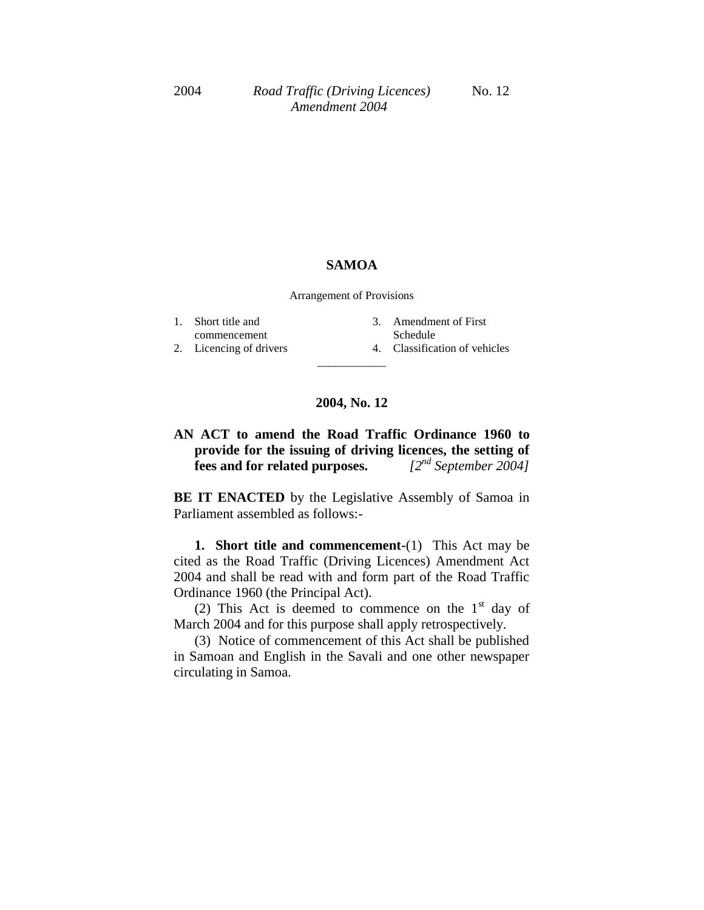## **SAMOA**

Arrangement of Provisions

| 1. Short title and      | 3. Amendment of First         |
|-------------------------|-------------------------------|
| commencement            | Schedule                      |
| 2. Licencing of drivers | 4. Classification of vehicles |
|                         |                               |

## **2004, No. 12**

**AN ACT to amend the Road Traffic Ordinance 1960 to provide for the issuing of driving licences, the setting of fees and for related purposes.** *[2nd September 2004]*

**BE IT ENACTED** by the Legislative Assembly of Samoa in Parliament assembled as follows:-

**1. Short title and commencement-**(1) This Act may be cited as the Road Traffic (Driving Licences) Amendment Act 2004 and shall be read with and form part of the Road Traffic Ordinance 1960 (the Principal Act).

(2) This Act is deemed to commence on the  $1<sup>st</sup>$  day of March 2004 and for this purpose shall apply retrospectively.

(3) Notice of commencement of this Act shall be published in Samoan and English in the Savali and one other newspaper circulating in Samoa.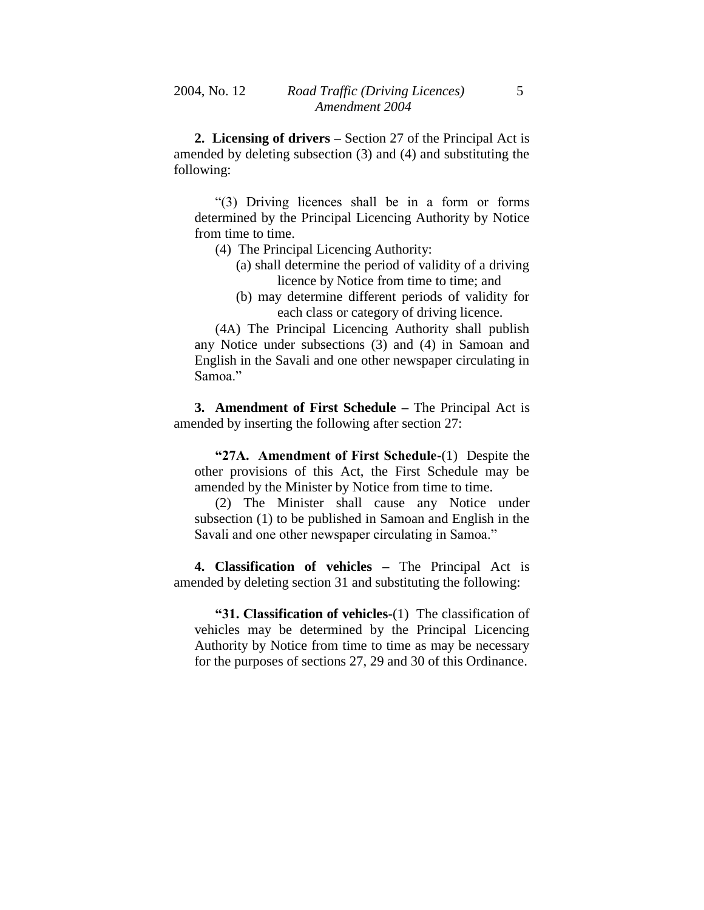**2. Licensing of drivers –** Section 27 of the Principal Act is amended by deleting subsection (3) and (4) and substituting the following:

"(3) Driving licences shall be in a form or forms determined by the Principal Licencing Authority by Notice from time to time.

- (4) The Principal Licencing Authority:
	- (a) shall determine the period of validity of a driving licence by Notice from time to time; and
	- (b) may determine different periods of validity for each class or category of driving licence.

(4A) The Principal Licencing Authority shall publish any Notice under subsections (3) and (4) in Samoan and English in the Savali and one other newspaper circulating in Samoa."

**3. Amendment of First Schedule –** The Principal Act is amended by inserting the following after section 27:

**"27A. Amendment of First Schedule-**(1) Despite the other provisions of this Act, the First Schedule may be amended by the Minister by Notice from time to time.

(2) The Minister shall cause any Notice under subsection (1) to be published in Samoan and English in the Savali and one other newspaper circulating in Samoa."

**4. Classification of vehicles –** The Principal Act is amended by deleting section 31 and substituting the following:

**"31. Classification of vehicles-**(1) The classification of vehicles may be determined by the Principal Licencing Authority by Notice from time to time as may be necessary for the purposes of sections 27, 29 and 30 of this Ordinance.